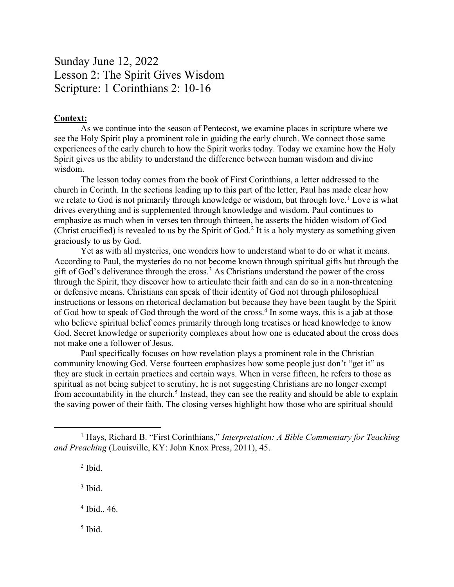## Sunday June 12, 2022 Lesson 2: The Spirit Gives Wisdom Scripture: 1 Corinthians 2: 10-16

## **Context:**

As we continue into the season of Pentecost, we examine places in scripture where we see the Holy Spirit play a prominent role in guiding the early church. We connect those same experiences of the early church to how the Spirit works today. Today we examine how the Holy Spirit gives us the ability to understand the difference between human wisdom and divine wisdom.

The lesson today comes from the book of First Corinthians, a letter addressed to the church in Corinth. In the sections leading up to this part of the letter, Paul has made clear how we relate to God is not primarily through knowledge or wisdom, but through love.<sup>1</sup> Love is what drives everything and is supplemented through knowledge and wisdom. Paul continues to emphasize as much when in verses ten through thirteen, he asserts the hidden wisdom of God (Christ crucified) is revealed to us by the Spirit of God.<sup>2</sup> It is a holy mystery as something given graciously to us by God.

Yet as with all mysteries, one wonders how to understand what to do or what it means. According to Paul, the mysteries do no not become known through spiritual gifts but through the gift of God's deliverance through the cross.<sup>3</sup> As Christians understand the power of the cross through the Spirit, they discover how to articulate their faith and can do so in a non-threatening or defensive means. Christians can speak of their identity of God not through philosophical instructions or lessons on rhetorical declamation but because they have been taught by the Spirit of God how to speak of God through the word of the cross.<sup>4</sup> In some ways, this is a jab at those who believe spiritual belief comes primarily through long treatises or head knowledge to know God. Secret knowledge or superiority complexes about how one is educated about the cross does not make one a follower of Jesus.

Paul specifically focuses on how revelation plays a prominent role in the Christian community knowing God. Verse fourteen emphasizes how some people just don't "get it" as they are stuck in certain practices and certain ways. When in verse fifteen, he refers to those as spiritual as not being subject to scrutiny, he is not suggesting Christians are no longer exempt from accountability in the church.<sup>5</sup> Instead, they can see the reality and should be able to explain the saving power of their faith. The closing verses highlight how those who are spiritual should

<sup>2</sup> Ibid.

 $3$  Ibid.

<sup>4</sup> Ibid., 46.

<sup>5</sup> Ibid.

<sup>1</sup> Hays, Richard B. "First Corinthians," *Interpretation: A Bible Commentary for Teaching and Preaching* (Louisville, KY: John Knox Press, 2011), 45.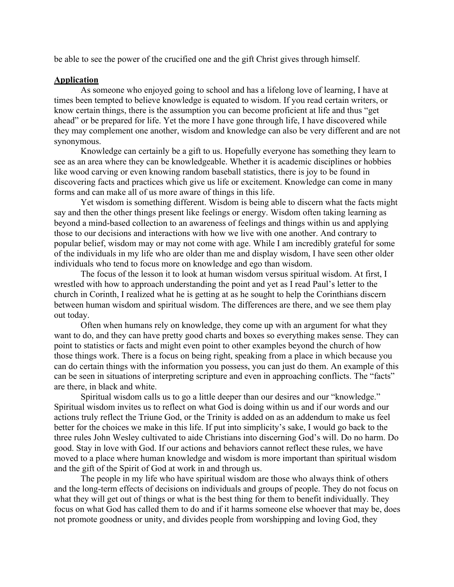be able to see the power of the crucified one and the gift Christ gives through himself.

## **Application**

As someone who enjoyed going to school and has a lifelong love of learning, I have at times been tempted to believe knowledge is equated to wisdom. If you read certain writers, or know certain things, there is the assumption you can become proficient at life and thus "get ahead" or be prepared for life. Yet the more I have gone through life, I have discovered while they may complement one another, wisdom and knowledge can also be very different and are not synonymous.

Knowledge can certainly be a gift to us. Hopefully everyone has something they learn to see as an area where they can be knowledgeable. Whether it is academic disciplines or hobbies like wood carving or even knowing random baseball statistics, there is joy to be found in discovering facts and practices which give us life or excitement. Knowledge can come in many forms and can make all of us more aware of things in this life.

Yet wisdom is something different. Wisdom is being able to discern what the facts might say and then the other things present like feelings or energy. Wisdom often taking learning as beyond a mind-based collection to an awareness of feelings and things within us and applying those to our decisions and interactions with how we live with one another. And contrary to popular belief, wisdom may or may not come with age. While I am incredibly grateful for some of the individuals in my life who are older than me and display wisdom, I have seen other older individuals who tend to focus more on knowledge and ego than wisdom.

The focus of the lesson it to look at human wisdom versus spiritual wisdom. At first, I wrestled with how to approach understanding the point and yet as I read Paul's letter to the church in Corinth, I realized what he is getting at as he sought to help the Corinthians discern between human wisdom and spiritual wisdom. The differences are there, and we see them play out today.

Often when humans rely on knowledge, they come up with an argument for what they want to do, and they can have pretty good charts and boxes so everything makes sense. They can point to statistics or facts and might even point to other examples beyond the church of how those things work. There is a focus on being right, speaking from a place in which because you can do certain things with the information you possess, you can just do them. An example of this can be seen in situations of interpreting scripture and even in approaching conflicts. The "facts" are there, in black and white.

Spiritual wisdom calls us to go a little deeper than our desires and our "knowledge." Spiritual wisdom invites us to reflect on what God is doing within us and if our words and our actions truly reflect the Triune God, or the Trinity is added on as an addendum to make us feel better for the choices we make in this life. If put into simplicity's sake, I would go back to the three rules John Wesley cultivated to aide Christians into discerning God's will. Do no harm. Do good. Stay in love with God. If our actions and behaviors cannot reflect these rules, we have moved to a place where human knowledge and wisdom is more important than spiritual wisdom and the gift of the Spirit of God at work in and through us.

The people in my life who have spiritual wisdom are those who always think of others and the long-term effects of decisions on individuals and groups of people. They do not focus on what they will get out of things or what is the best thing for them to benefit individually. They focus on what God has called them to do and if it harms someone else whoever that may be, does not promote goodness or unity, and divides people from worshipping and loving God, they